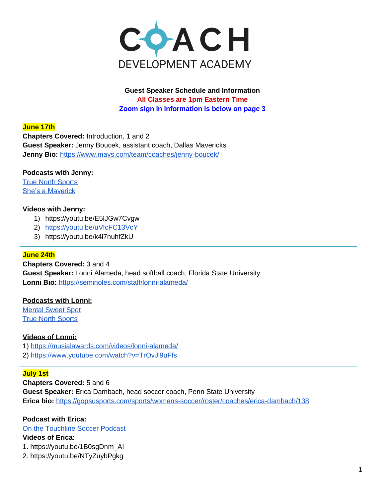

**Guest Speaker Schedule and Information All Classes are 1pm Eastern Time Zoom sign in information is below on page 3**

### **June 17th**

**Chapters Covered:** Introduction, 1 and 2 **Guest Speaker:** Jenny Boucek, assistant coach, Dallas Mavericks **Jenny Bio:** <https://www.mavs.com/team/coaches/jenny-boucek/>

### **Podcasts with Jenny:**

[True North Sports](https://truenorthsports.net/030-my-path-to-coaching-in-the-nba/) [She's a Maverick](https://shesamaverick.com/podcast/)

#### **Videos with Jenny:**

- 1) <https://youtu.be/E5lJGw7Cvgw>
- 2) <https://youtu.be/uVfcFC13VcY>
- 3) https://youtu.be/k4l7nuhfZkU

#### **June 24th**

**Chapters Covered:** 3 and 4 **Guest Speaker:** Lonni Alameda, head softball coach, Florida State University **Lonni Bio:** <https://seminoles.com/staff/lonni-alameda/>

#### **Podcasts with Lonni:**

[Mental Sweet Spot](https://www.mentalsweetspot.com/on-and-off-the-field/) [True North Sports](https://truenorthsports.net/016-an-insider-look-into-the-fsu-softball-program-and-the-coach-of-the-2018-national-champions/)

### **Videos of Lonni:**

- 1)<https://musialawards.com/videos/lonni-alameda/>
- 2)<https://www.youtube.com/watch?v=TrOvJl9uFfs>

### **July 1st**

**Chapters Covered:** 5 and 6 **Guest Speaker:** Erica Dambach, head soccer coach, Penn State University **Erica bio:** <https://gopsusports.com/sports/womens-soccer/roster/coaches/erica-dambach/138>

### **Podcast with Erica:**

[On the Touchline Soccer Podcast](https://www.listennotes.com/podcasts/on-the-touchline/season-2-episode-11-erica-QRHp8CGOw2k/)

### **Videos of Erica:**

1. [https://youtu.be/1B0sgDnm\\_AI](https://youtu.be/1B0sgDnm_AI)

2. https://youtu.be/NTyZuybPgkg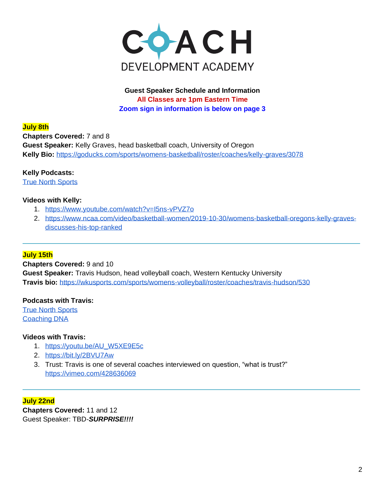

# **Guest Speaker Schedule and Information All Classes are 1pm Eastern Time Zoom sign in information is below on page 3**

### **July 8th**

**Chapters Covered:** 7 and 8 **Guest Speaker:** Kelly Graves, head basketball coach, University of Oregon **Kelly Bio:** <https://goducks.com/sports/womens-basketball/roster/coaches/kelly-graves/3078>

## **Kelly Podcasts:**

[True North Sports](https://truenorthsports.net/025-ignore-the-noise/) 

## **Videos with Kelly:**

- 1. <https://www.youtube.com/watch?v=I5ns-vPVZ7o>
- 2. [https://www.ncaa.com/video/basketball-women/2019-10-30/womens-basketball-oregons-kelly-graves](https://www.ncaa.com/video/basketball-women/2019-10-30/womens-basketball-oregons-kelly-graves-discusses-his-top-ranked)[discusses-his-top-ranked](https://www.ncaa.com/video/basketball-women/2019-10-30/womens-basketball-oregons-kelly-graves-discusses-his-top-ranked)

## **July 15th**

**Chapters Covered:** 9 and 10 **Guest Speaker:** Travis Hudson, head volleyball coach, Western Kentucky University **Travis bio:** <https://wkusports.com/sports/womens-volleyball/roster/coaches/travis-hudson/530>

### **Podcasts with Travis:**

[True North Sports](https://truenorthsports.net/009-travis-hudson-western-kentucky-volleyball/) [Coaching DNA](https://apple.co/3hgFb02)

### **Videos with Travis:**

- 1. [https://youtu.be/AU\\_W5XE9E5c](https://youtu.be/AU_W5XE9E5c)
- 2. <https://bit.ly/2BVU7Aw>
- 3. Trust: Travis is one of several coaches interviewed on question, "what is trust?" <https://vimeo.com/428636069>

**July 22nd Chapters Covered:** 11 and 12 Guest Speaker: TBD-*SURPRISE!!!!*